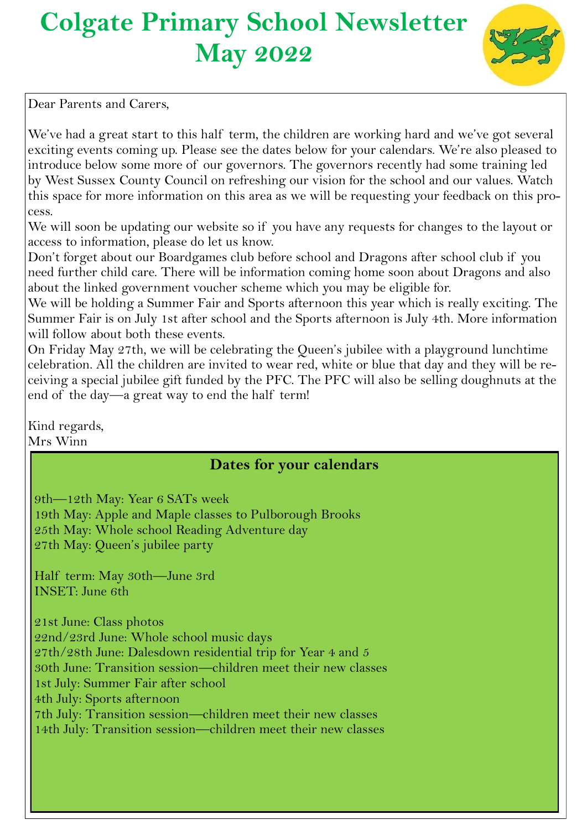# **Colgate Primary School Newsletter May 2022**



Dear Parents and Carers,

We've had a great start to this half term, the children are working hard and we've got several exciting events coming up. Please see the dates below for your calendars. We're also pleased to introduce below some more of our governors. The governors recently had some training led by West Sussex County Council on refreshing our vision for the school and our values. Watch this space for more information on this area as we will be requesting your feedback on this process.

We will soon be updating our website so if you have any requests for changes to the layout or access to information, please do let us know.

Don't forget about our Boardgames club before school and Dragons after school club if you need further child care. There will be information coming home soon about Dragons and also about the linked government voucher scheme which you may be eligible for.

We will be holding a Summer Fair and Sports afternoon this year which is really exciting. The Summer Fair is on July 1st after school and the Sports afternoon is July 4th. More information will follow about both these events.

On Friday May 27th, we will be celebrating the Queen's jubilee with a playground lunchtime celebration. All the children are invited to wear red, white or blue that day and they will be receiving a special jubilee gift funded by the PFC. The PFC will also be selling doughnuts at the end of the day—a great way to end the half term!

Kind regards, Mrs Winn

# **Dates for your calendars**

9th—12th May: Year 6 SATs week 19th May: Apple and Maple classes to Pulborough Brooks 25th May: Whole school Reading Adventure day 27th May: Queen's jubilee party

Half term: May 30th—June 3rd INSET: June 6th

21st June: Class photos 22nd/23rd June: Whole school music days 27th/28th June: Dalesdown residential trip for Year 4 and 5 30th June: Transition session—children meet their new classes 1st July: Summer Fair after school 4th July: Sports afternoon 7th July: Transition session—children meet their new classes 14th July: Transition session—children meet their new classes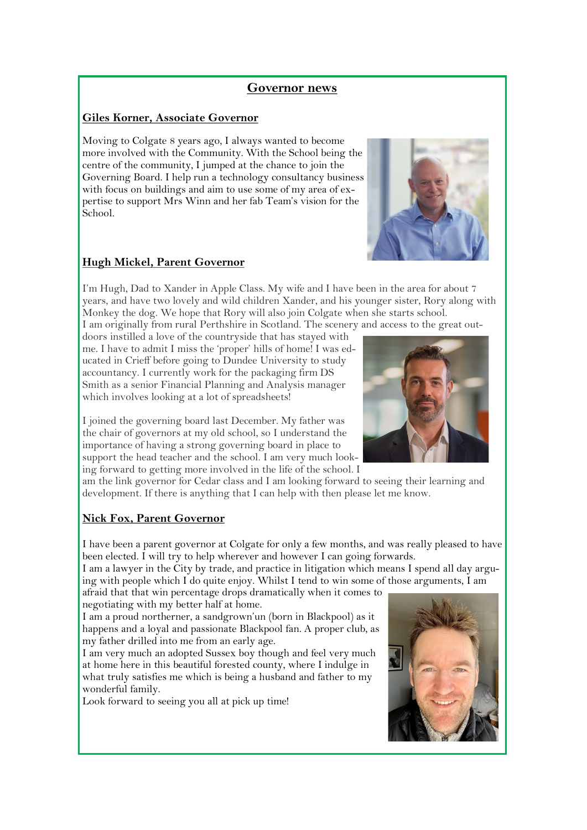# **Governor news**

#### **Giles Korner, Associate Governor**

Moving to Colgate 8 years ago, I always wanted to become more involved with the Community. With the School being the centre of the community, I jumped at the chance to join the Governing Board. I help run a technology consultancy business with focus on buildings and aim to use some of my area of expertise to support Mrs Winn and her fab Team's vision for the School.

#### **Hugh Mickel, Parent Governor**

I'm Hugh, Dad to Xander in Apple Class. My wife and I have been in the area for about 7 years, and have two lovely and wild children Xander, and his younger sister, Rory along with Monkey the dog. We hope that Rory will also join Colgate when she starts school.

I am originally from rural Perthshire in Scotland. The scenery and access to the great out-

doors instilled a love of the countryside that has stayed with me. I have to admit I miss the 'proper' hills of home! I was educated in Crieff before going to Dundee University to study accountancy. I currently work for the packaging firm DS Smith as a senior Financial Planning and Analysis manager which involves looking at a lot of spreadsheets!

I joined the governing board last December. My father was the chair of governors at my old school, so I understand the importance of having a strong governing board in place to support the head teacher and the school. I am very much looking forward to getting more involved in the life of the school. I

am the link governor for Cedar class and I am looking forward to seeing their learning and development. If there is anything that I can help with then please let me know.

# **Nick Fox, Parent Governor**

I have been a parent governor at Colgate for only a few months, and was really pleased to have been elected. I will try to help wherever and however I can going forwards.

I am a lawyer in the City by trade, and practice in litigation which means I spend all day arguing with people which I do quite enjoy. Whilst I tend to win some of those arguments, I am

afraid that that win percentage drops dramatically when it comes to negotiating with my better half at home.

I am a proud northerner, a sandgrown'un (born in Blackpool) as it happens and a loyal and passionate Blackpool fan. A proper club, as my father drilled into me from an early age.

I am very much an adopted Sussex boy though and feel very much at home here in this beautiful forested county, where I indulge in what truly satisfies me which is being a husband and father to my wonderful family.

Look forward to seeing you all at pick up time!